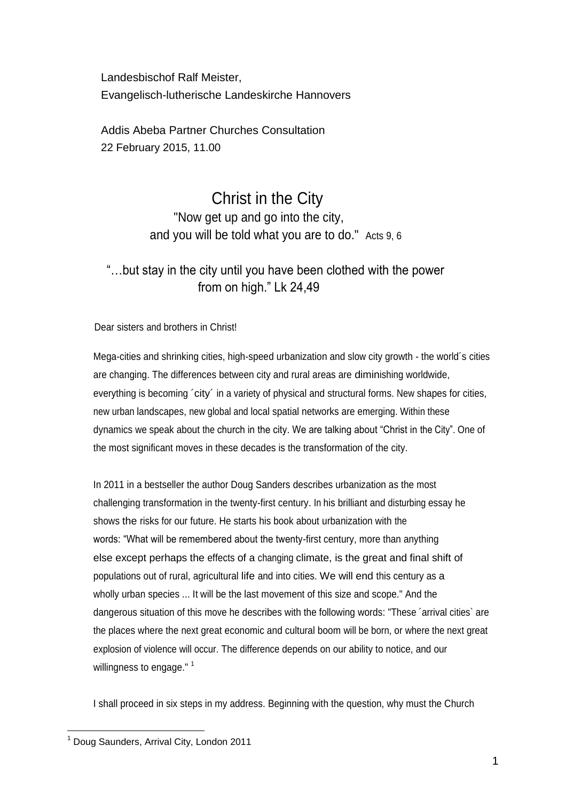Landesbischof Ralf Meister, Evangelisch-lutherische Landeskirche Hannovers

Addis Abeba Partner Churches Consultation 22 February 2015, 11.00

# Christ in the City "Now get up and go into the city, and you will be told what you are to do." Acts 9, 6

## "…but stay in the city until you have been clothed with the power from on high." Lk 24,49

Dear sisters and brothers in Christ!

Mega-cities and shrinking cities, high-speed urbanization and slow city growth - the world´s cities are changing. The differences between city and rural areas are diminishing worldwide, everything is becoming 'city' in a variety of physical and structural forms. New shapes for cities, new urban landscapes, new global and local spatial networks are emerging. Within these dynamics we speak about the church in the city. We are talking about "Christ in the City". One of the most significant moves in these decades is the transformation of the city.

In 2011 in a bestseller the author Doug Sanders describes urbanization as the most challenging transformation in the twenty-first century. In his brilliant and disturbing essay he shows the risks for our future. He starts his book about urbanization with the words: "What will be remembered about the twenty-first century, more than anything else except perhaps the effects of a changing climate, is the great and final shift of populations out of rural, agricultural life and into cities. We will end this century as a wholly urban species ... It will be the last movement of this size and scope." And the dangerous situation of this move he describes with the following words: "These ´arrival cities` are the places where the next great economic and cultural boom will be born, or where the next great explosion of violence will occur. The difference depends on our ability to notice, and our willingness to engage." $1$ 

I shall proceed in six steps in my address. Beginning with the question, why must the Church

 $\overline{a}$  $<sup>1</sup>$  Doug Saunders, Arrival City, London 2011</sup>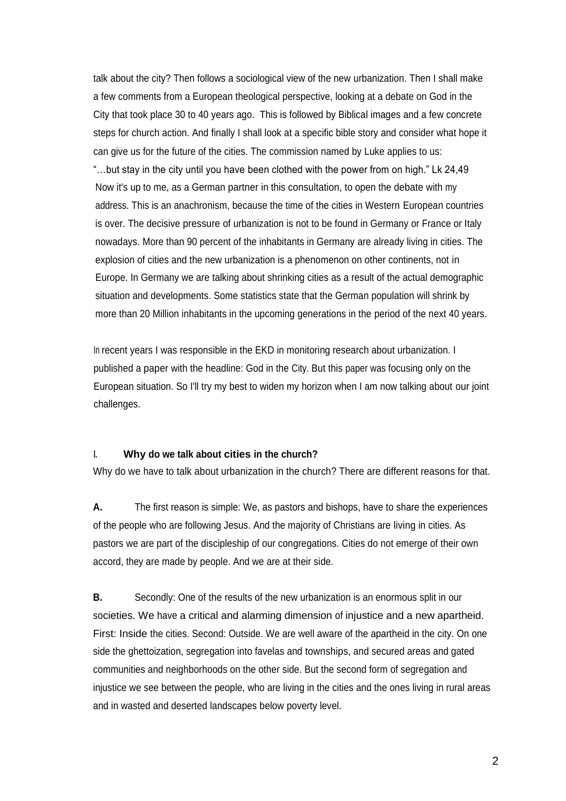talk about the city? Then follows a sociological view of the new urbanization. Then I shall make a few comments from a European theological perspective, looking at a debate on God in the City that took place 30 to 40 years ago. This is followed by Biblical images and a few concrete steps for church action. And finally I shall look at a specific bible story and consider what hope it can give us for the future of the cities. The commission named by Luke applies to us: "…but stay in the city until you have been clothed with the power from on high." Lk 24,49 Now it's up to me, as a German partner in this consultation, to open the debate with my address. This is an anachronism, because the time of the cities in Western European countries is over. The decisive pressure of urbanization is not to be found in Germany or France or Italy nowadays. More than 90 percent of the inhabitants in Germany are already living in cities. The explosion of cities and the new urbanization is a phenomenon on other continents, not in Europe. In Germany we are talking about shrinking cities as a result of the actual demographic situation and developments. Some statistics state that the German population will shrink by more than 20 Million inhabitants in the upcoming generations in the period of the next 40 years.

In recent years I was responsible in the EKD in monitoring research about urbanization. I published a paper with the headline: God in the City. But this paper was focusing only on the European situation. So I'll try my best to widen my horizon when I am now talking about our joint challenges.

#### **I. Why do we talk about cities in the church?**

Why do we have to talk about urbanization in the church? There are different reasons for that.

**A.** The first reason is simple: We, as pastors and bishops, have to share the experiences of the people who are following Jesus. And the majority of Christians are living in cities. As pastors we are part of the discipleship of our congregations. Cities do not emerge of their own accord, they are made by people. And we are at their side.

**B.** Secondly: One of the results of the new urbanization is an enormous split in our societies. We have a critical and alarming dimension of injustice and a new apartheid. First: Inside the cities. Second: Outside. We are well aware of the apartheid in the city. On one side the ghettoization, segregation into favelas and townships, and secured areas and gated communities and neighborhoods on the other side. But the second form of segregation and injustice we see between the people, who are living in the cities and the ones living in rural areas and in wasted and deserted landscapes below poverty level.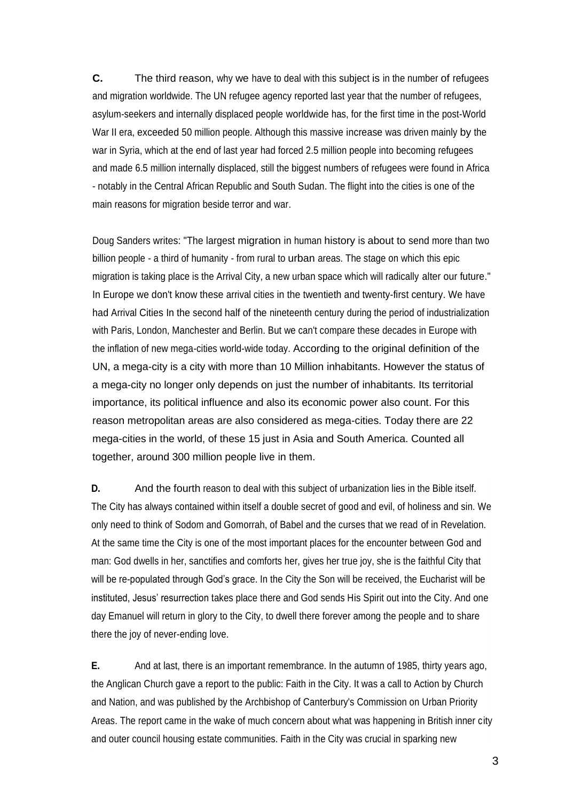**C.** The third reason, why we have to deal with this subject is in the number of refugees and migration worldwide. The UN refugee agency reported last year that the number of refugees, asylum-seekers and internally displaced people worldwide has, for the first time in the post-World War II era, exceeded 50 million people. Although this massive increase was driven mainly by the war in Syria, which at the end of last year had forced 2.5 million people into becoming refugees and made 6.5 million internally displaced, still the biggest numbers of refugees were found in Africa - notably in the Central African Republic and South Sudan. The flight into the cities is one of the main reasons for migration beside terror and war.

Doug Sanders writes: "The largest migration in human history is about to send more than two billion people - a third of humanity - from rural to urban areas. The stage on which this epic migration is taking place is the Arrival City, a new urban space which will radically alter our future." In Europe we don't know these arrival cities in the twentieth and twenty-first century. We have had Arrival Cities In the second half of the nineteenth century during the period of industrialization with Paris, London, Manchester and Berlin. But we can't compare these decades in Europe with the inflation of new mega-cities world-wide today. According to the original definition of the UN, a mega-city is a city with more than 10 Million inhabitants. However the status of a mega-city no longer only depends on just the number of inhabitants. Its territorial importance, its political influence and also its economic power also count. For this reason metropolitan areas are also considered as mega-cities. Today there are 22 mega-cities in the world, of these 15 just in Asia and South America. Counted all together, around 300 million people live in them.

**D.** And the fourth reason to deal with this subject of urbanization lies in the Bible itself. The City has always contained within itself a double secret of good and evil, of holiness and sin. We only need to think of Sodom and Gomorrah, of Babel and the curses that we read of in Revelation. At the same time the City is one of the most important places for the encounter between God and man: God dwells in her, sanctifies and comforts her, gives her true joy, she is the faithful City that will be re-populated through God's grace. In the City the Son will be received, the Eucharist will be instituted, Jesus' resurrection takes place there and God sends His Spirit out into the City. And one day Emanuel will return in glory to the City, to dwell there forever among the people and to share there the joy of never-ending love.

**E.** And at last, there is an important remembrance. In the autumn of 1985, thirty years ago, the Anglican Church gave a report to the public: Faith in the City. It was a call to Action by Church and Nation, and was published by the Archbishop of Canterbury's Commission on Urban Priority Areas. The report came in the wake of much concern about what was happening in British inner city and outer council housing estate communities. Faith in the City was crucial in sparking new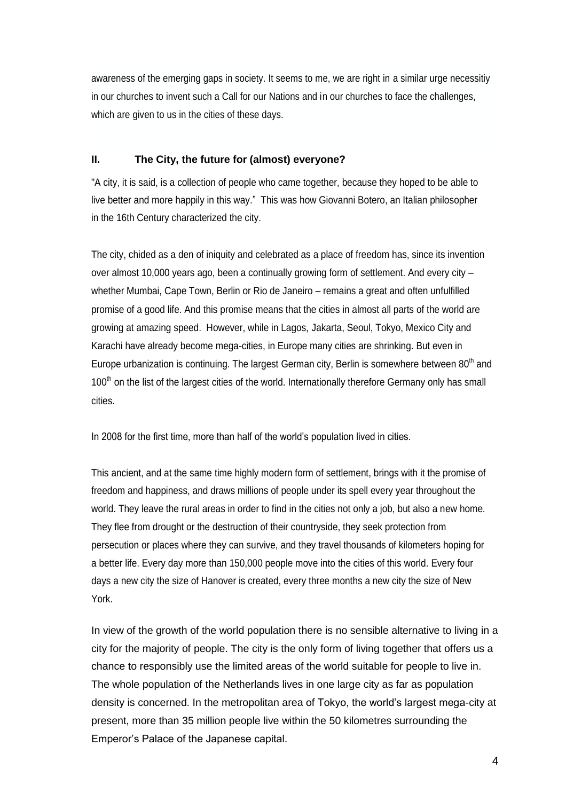awareness of the emerging gaps in society. It seems to me, we are right in a similar urge necessitiy in our churches to invent such a Call for our Nations and in our churches to face the challenges, which are given to us in the cities of these days.

#### **II. The City, the future for (almost) everyone?**

"A city, it is said, is a collection of people who came together, because they hoped to be able to live better and more happily in this way." This was how Giovanni Botero, an Italian philosopher in the 16th Century characterized the city.

The city, chided as a den of iniquity and celebrated as a place of freedom has, since its invention over almost 10,000 years ago, been a continually growing form of settlement. And every city – whether Mumbai, Cape Town, Berlin or Rio de Janeiro – remains a great and often unfulfilled promise of a good life. And this promise means that the cities in almost all parts of the world are growing at amazing speed. However, while in Lagos, Jakarta, Seoul, Tokyo, Mexico City and Karachi have already become mega-cities, in Europe many cities are shrinking. But even in Europe urbanization is continuing. The largest German city, Berlin is somewhere between  $80<sup>th</sup>$  and 100<sup>th</sup> on the list of the largest cities of the world. Internationally therefore Germany only has small cities.

In 2008 for the first time, more than half of the world's population lived in cities.

This ancient, and at the same time highly modern form of settlement, brings with it the promise of freedom and happiness, and draws millions of people under its spell every year throughout the world. They leave the rural areas in order to find in the cities not only a job, but also a new home. They flee from drought or the destruction of their countryside, they seek protection from persecution or places where they can survive, and they travel thousands of kilometers hoping for a better life. Every day more than 150,000 people move into the cities of this world. Every four days a new city the size of Hanover is created, every three months a new city the size of New York.

In view of the growth of the world population there is no sensible alternative to living in a city for the majority of people. The city is the only form of living together that offers us a chance to responsibly use the limited areas of the world suitable for people to live in. The whole population of the Netherlands lives in one large city as far as population density is concerned. In the metropolitan area of Tokyo, the world's largest mega-city at present, more than 35 million people live within the 50 kilometres surrounding the Emperor's Palace of the Japanese capital.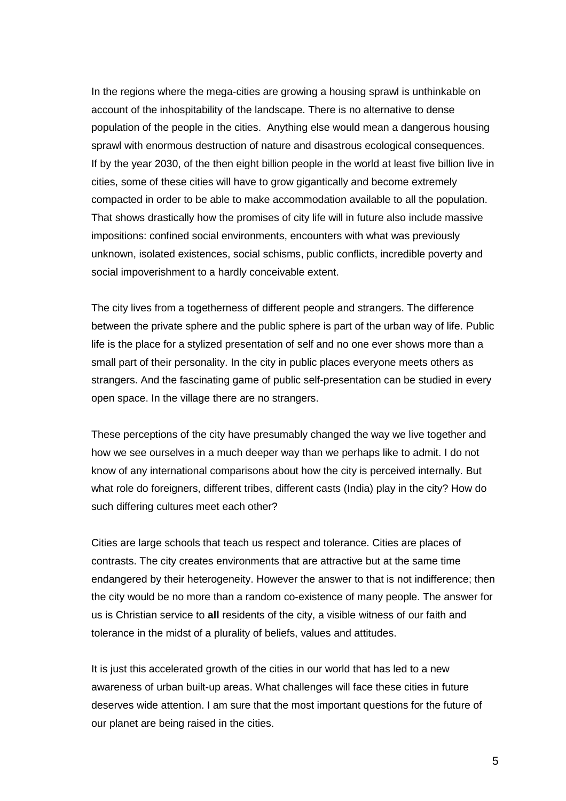In the regions where the mega-cities are growing a housing sprawl is unthinkable on account of the inhospitability of the landscape. There is no alternative to dense population of the people in the cities. Anything else would mean a dangerous housing sprawl with enormous destruction of nature and disastrous ecological consequences. If by the year 2030, of the then eight billion people in the world at least five billion live in cities, some of these cities will have to grow gigantically and become extremely compacted in order to be able to make accommodation available to all the population. That shows drastically how the promises of city life will in future also include massive impositions: confined social environments, encounters with what was previously unknown, isolated existences, social schisms, public conflicts, incredible poverty and social impoverishment to a hardly conceivable extent.

The city lives from a togetherness of different people and strangers. The difference between the private sphere and the public sphere is part of the urban way of life. Public life is the place for a stylized presentation of self and no one ever shows more than a small part of their personality. In the city in public places everyone meets others as strangers. And the fascinating game of public self-presentation can be studied in every open space. In the village there are no strangers.

These perceptions of the city have presumably changed the way we live together and how we see ourselves in a much deeper way than we perhaps like to admit. I do not know of any international comparisons about how the city is perceived internally. But what role do foreigners, different tribes, different casts (India) play in the city? How do such differing cultures meet each other?

Cities are large schools that teach us respect and tolerance. Cities are places of contrasts. The city creates environments that are attractive but at the same time endangered by their heterogeneity. However the answer to that is not indifference; then the city would be no more than a random co-existence of many people. The answer for us is Christian service to **all** residents of the city, a visible witness of our faith and tolerance in the midst of a plurality of beliefs, values and attitudes.

It is just this accelerated growth of the cities in our world that has led to a new awareness of urban built-up areas. What challenges will face these cities in future deserves wide attention. I am sure that the most important questions for the future of our planet are being raised in the cities.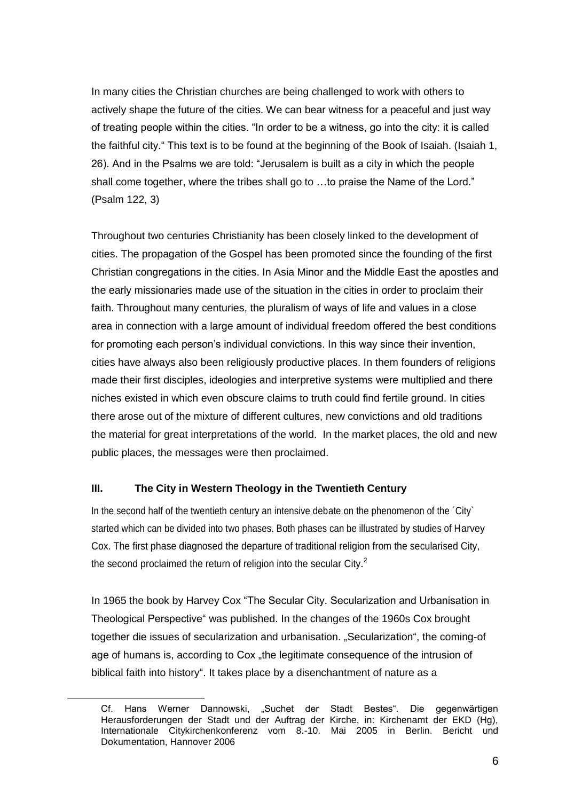In many cities the Christian churches are being challenged to work with others to actively shape the future of the cities. We can bear witness for a peaceful and just way of treating people within the cities. "In order to be a witness, go into the city: it is called the faithful city." This text is to be found at the beginning of the Book of Isaiah. (Isaiah 1, 26). And in the Psalms we are told: "Jerusalem is built as a city in which the people shall come together, where the tribes shall go to …to praise the Name of the Lord." (Psalm 122, 3)

Throughout two centuries Christianity has been closely linked to the development of cities. The propagation of the Gospel has been promoted since the founding of the first Christian congregations in the cities. In Asia Minor and the Middle East the apostles and the early missionaries made use of the situation in the cities in order to proclaim their faith. Throughout many centuries, the pluralism of ways of life and values in a close area in connection with a large amount of individual freedom offered the best conditions for promoting each person's individual convictions. In this way since their invention, cities have always also been religiously productive places. In them founders of religions made their first disciples, ideologies and interpretive systems were multiplied and there niches existed in which even obscure claims to truth could find fertile ground. In cities there arose out of the mixture of different cultures, new convictions and old traditions the material for great interpretations of the world. In the market places, the old and new public places, the messages were then proclaimed.

#### **III. The City in Western Theology in the Twentieth Century**

 $\overline{a}$ 

In the second half of the twentieth century an intensive debate on the phenomenon of the ´City` started which can be divided into two phases. Both phases can be illustrated by studies of Harvey Cox. The first phase diagnosed the departure of traditional religion from the secularised City, the second proclaimed the return of religion into the secular City.<sup>2</sup>

In 1965 the book by Harvey Cox "The Secular City. Secularization and Urbanisation in Theological Perspective" was published. In the changes of the 1960s Cox brought together die issues of secularization and urbanisation. "Secularization", the coming-of age of humans is, according to Cox "the legitimate consequence of the intrusion of biblical faith into history". It takes place by a disenchantment of nature as a

Cf. Hans Werner Dannowski, "Suchet der Stadt Bestes". Die gegenwärtigen Herausforderungen der Stadt und der Auftrag der Kirche, in: Kirchenamt der EKD (Hg), Internationale Citykirchenkonferenz vom 8.-10. Mai 2005 in Berlin. Bericht und Dokumentation, Hannover 2006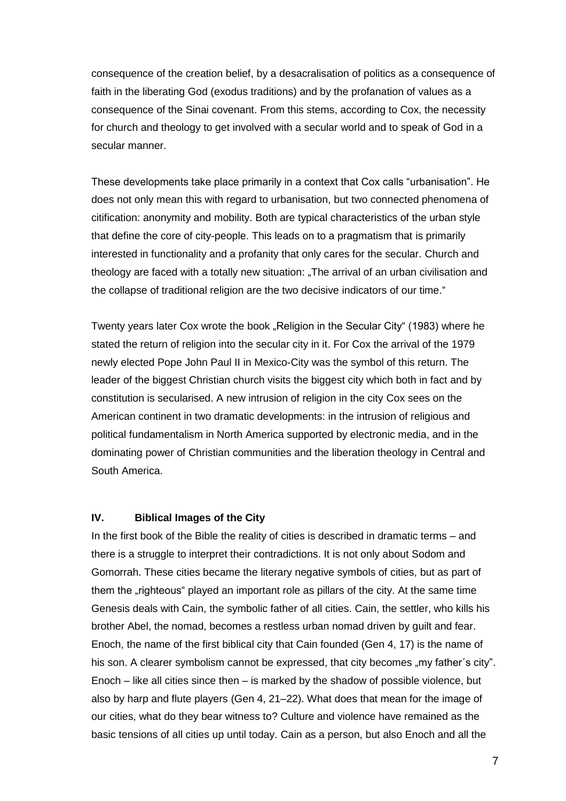consequence of the creation belief, by a desacralisation of politics as a consequence of faith in the liberating God (exodus traditions) and by the profanation of values as a consequence of the Sinai covenant. From this stems, according to Cox, the necessity for church and theology to get involved with a secular world and to speak of God in a secular manner.

These developments take place primarily in a context that Cox calls "urbanisation". He does not only mean this with regard to urbanisation, but two connected phenomena of citification: anonymity and mobility. Both are typical characteristics of the urban style that define the core of city-people. This leads on to a pragmatism that is primarily interested in functionality and a profanity that only cares for the secular. Church and theology are faced with a totally new situation: "The arrival of an urban civilisation and the collapse of traditional religion are the two decisive indicators of our time."

Twenty years later Cox wrote the book "Religion in the Secular City" (1983) where he stated the return of religion into the secular city in it. For Cox the arrival of the 1979 newly elected Pope John Paul II in Mexico-City was the symbol of this return. The leader of the biggest Christian church visits the biggest city which both in fact and by constitution is secularised. A new intrusion of religion in the city Cox sees on the American continent in two dramatic developments: in the intrusion of religious and political fundamentalism in North America supported by electronic media, and in the dominating power of Christian communities and the liberation theology in Central and South America.

#### **IV. Biblical Images of the City**

In the first book of the Bible the reality of cities is described in dramatic terms – and there is a struggle to interpret their contradictions. It is not only about Sodom and Gomorrah. These cities became the literary negative symbols of cities, but as part of them the "righteous" played an important role as pillars of the city. At the same time Genesis deals with Cain, the symbolic father of all cities. Cain, the settler, who kills his brother Abel, the nomad, becomes a restless urban nomad driven by guilt and fear. Enoch, the name of the first biblical city that Cain founded (Gen 4, 17) is the name of his son. A clearer symbolism cannot be expressed, that city becomes "my father's city". Enoch – like all cities since then – is marked by the shadow of possible violence, but also by harp and flute players (Gen 4, 21–22). What does that mean for the image of our cities, what do they bear witness to? Culture and violence have remained as the basic tensions of all cities up until today. Cain as a person, but also Enoch and all the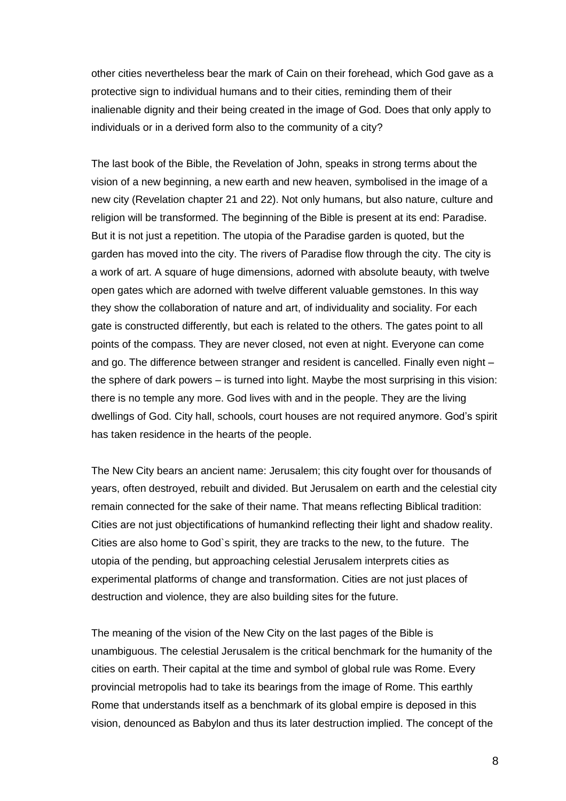other cities nevertheless bear the mark of Cain on their forehead, which God gave as a protective sign to individual humans and to their cities, reminding them of their inalienable dignity and their being created in the image of God. Does that only apply to individuals or in a derived form also to the community of a city?

The last book of the Bible, the Revelation of John, speaks in strong terms about the vision of a new beginning, a new earth and new heaven, symbolised in the image of a new city (Revelation chapter 21 and 22). Not only humans, but also nature, culture and religion will be transformed. The beginning of the Bible is present at its end: Paradise. But it is not just a repetition. The utopia of the Paradise garden is quoted, but the garden has moved into the city. The rivers of Paradise flow through the city. The city is a work of art. A square of huge dimensions, adorned with absolute beauty, with twelve open gates which are adorned with twelve different valuable gemstones. In this way they show the collaboration of nature and art, of individuality and sociality. For each gate is constructed differently, but each is related to the others. The gates point to all points of the compass. They are never closed, not even at night. Everyone can come and go. The difference between stranger and resident is cancelled. Finally even night – the sphere of dark powers – is turned into light. Maybe the most surprising in this vision: there is no temple any more. God lives with and in the people. They are the living dwellings of God. City hall, schools, court houses are not required anymore. God's spirit has taken residence in the hearts of the people.

The New City bears an ancient name: Jerusalem; this city fought over for thousands of years, often destroyed, rebuilt and divided. But Jerusalem on earth and the celestial city remain connected for the sake of their name. That means reflecting Biblical tradition: Cities are not just objectifications of humankind reflecting their light and shadow reality. Cities are also home to God`s spirit, they are tracks to the new, to the future. The utopia of the pending, but approaching celestial Jerusalem interprets cities as experimental platforms of change and transformation. Cities are not just places of destruction and violence, they are also building sites for the future.

The meaning of the vision of the New City on the last pages of the Bible is unambiguous. The celestial Jerusalem is the critical benchmark for the humanity of the cities on earth. Their capital at the time and symbol of global rule was Rome. Every provincial metropolis had to take its bearings from the image of Rome. This earthly Rome that understands itself as a benchmark of its global empire is deposed in this vision, denounced as Babylon and thus its later destruction implied. The concept of the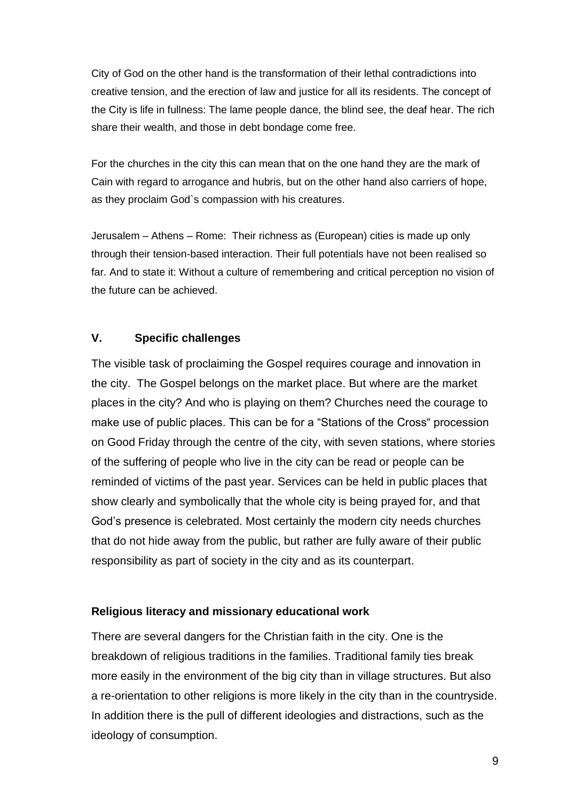City of God on the other hand is the transformation of their lethal contradictions into creative tension, and the erection of law and justice for all its residents. The concept of the City is life in fullness: The lame people dance, the blind see, the deaf hear. The rich share their wealth, and those in debt bondage come free.

For the churches in the city this can mean that on the one hand they are the mark of Cain with regard to arrogance and hubris, but on the other hand also carriers of hope, as they proclaim God`s compassion with his creatures.

Jerusalem – Athens – Rome: Their richness as (European) cities is made up only through their tension-based interaction. Their full potentials have not been realised so far. And to state it: Without a culture of remembering and critical perception no vision of the future can be achieved.

## **V. Specific challenges**

The visible task of proclaiming the Gospel requires courage and innovation in the city. The Gospel belongs on the market place. But where are the market places in the city? And who is playing on them? Churches need the courage to make use of public places. This can be for a "Stations of the Cross" procession on Good Friday through the centre of the city, with seven stations, where stories of the suffering of people who live in the city can be read or people can be reminded of victims of the past year. Services can be held in public places that show clearly and symbolically that the whole city is being prayed for, and that God's presence is celebrated. Most certainly the modern city needs churches that do not hide away from the public, but rather are fully aware of their public responsibility as part of society in the city and as its counterpart.

## **Religious literacy and missionary educational work**

There are several dangers for the Christian faith in the city. One is the breakdown of religious traditions in the families. Traditional family ties break more easily in the environment of the big city than in village structures. But also a re-orientation to other religions is more likely in the city than in the countryside. In addition there is the pull of different ideologies and distractions, such as the ideology of consumption.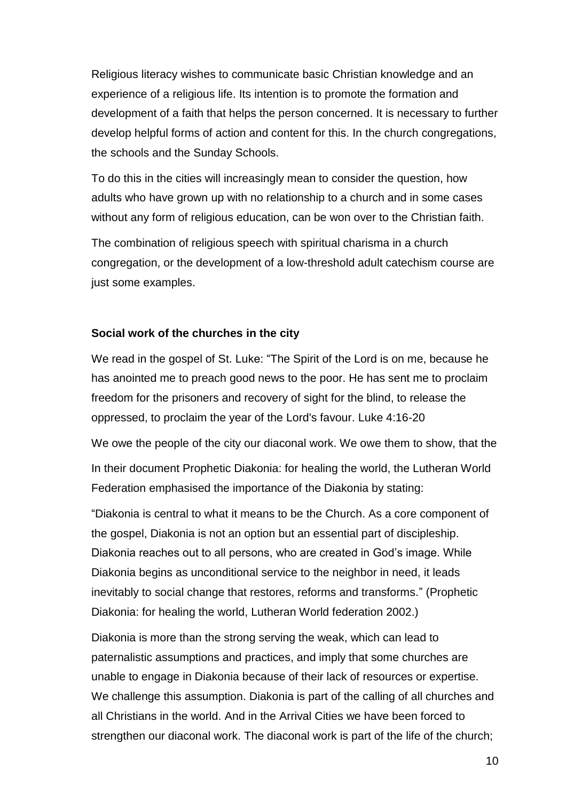Religious literacy wishes to communicate basic Christian knowledge and an experience of a religious life. Its intention is to promote the formation and development of a faith that helps the person concerned. It is necessary to further develop helpful forms of action and content for this. In the church congregations, the schools and the Sunday Schools.

To do this in the cities will increasingly mean to consider the question, how adults who have grown up with no relationship to a church and in some cases without any form of religious education, can be won over to the Christian faith.

The combination of religious speech with spiritual charisma in a church congregation, or the development of a low-threshold adult catechism course are just some examples.

### **Social work of the churches in the city**

We read in the gospel of St. Luke: "The Spirit of the Lord is on me, because he has anointed me to preach good news to the poor. He has sent me to proclaim freedom for the prisoners and recovery of sight for the blind, to release the oppressed, to proclaim the year of the Lord's favour. Luke 4:16-20

We owe the people of the city our diaconal work. We owe them to show, that the In their document Prophetic Diakonia: for healing the world, the Lutheran World Federation emphasised the importance of the Diakonia by stating:

"Diakonia is central to what it means to be the Church. As a core component of the gospel, Diakonia is not an option but an essential part of discipleship. Diakonia reaches out to all persons, who are created in God's image. While Diakonia begins as unconditional service to the neighbor in need, it leads inevitably to social change that restores, reforms and transforms." (Prophetic Diakonia: for healing the world, Lutheran World federation 2002.)

Diakonia is more than the strong serving the weak, which can lead to paternalistic assumptions and practices, and imply that some churches are unable to engage in Diakonia because of their lack of resources or expertise. We challenge this assumption. Diakonia is part of the calling of all churches and all Christians in the world. And in the Arrival Cities we have been forced to strengthen our diaconal work. The diaconal work is part of the life of the church;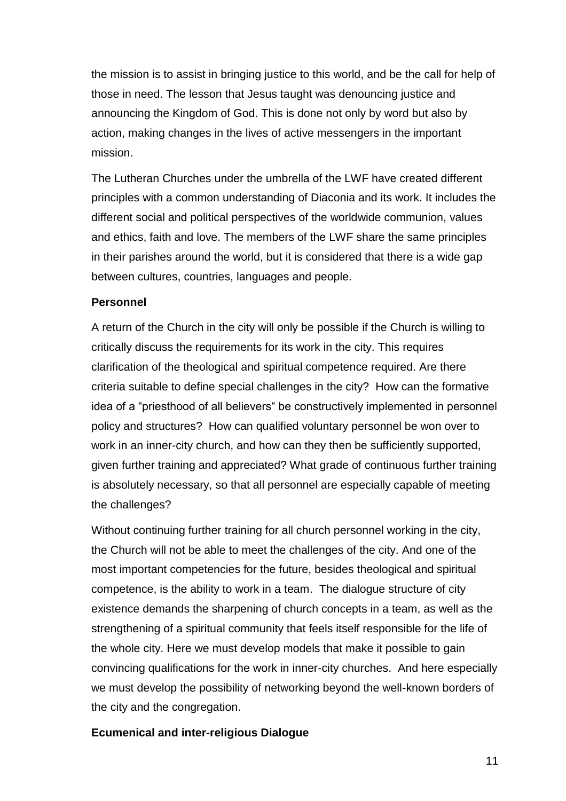the mission is to assist in bringing justice to this world, and be the call for help of those in need. The lesson that Jesus taught was denouncing justice and announcing the Kingdom of God. This is done not only by word but also by action, making changes in the lives of active messengers in the important mission.

The Lutheran Churches under the umbrella of the LWF have created different principles with a common understanding of Diaconia and its work. It includes the different social and political perspectives of the worldwide communion, values and ethics, faith and love. The members of the LWF share the same principles in their parishes around the world, but it is considered that there is a wide gap between cultures, countries, languages and people.

## **Personnel**

A return of the Church in the city will only be possible if the Church is willing to critically discuss the requirements for its work in the city. This requires clarification of the theological and spiritual competence required. Are there criteria suitable to define special challenges in the city? How can the formative idea of a "priesthood of all believers" be constructively implemented in personnel policy and structures? How can qualified voluntary personnel be won over to work in an inner-city church, and how can they then be sufficiently supported, given further training and appreciated? What grade of continuous further training is absolutely necessary, so that all personnel are especially capable of meeting the challenges?

Without continuing further training for all church personnel working in the city, the Church will not be able to meet the challenges of the city. And one of the most important competencies for the future, besides theological and spiritual competence, is the ability to work in a team. The dialogue structure of city existence demands the sharpening of church concepts in a team, as well as the strengthening of a spiritual community that feels itself responsible for the life of the whole city. Here we must develop models that make it possible to gain convincing qualifications for the work in inner-city churches. And here especially we must develop the possibility of networking beyond the well-known borders of the city and the congregation.

## **Ecumenical and inter-religious Dialogue**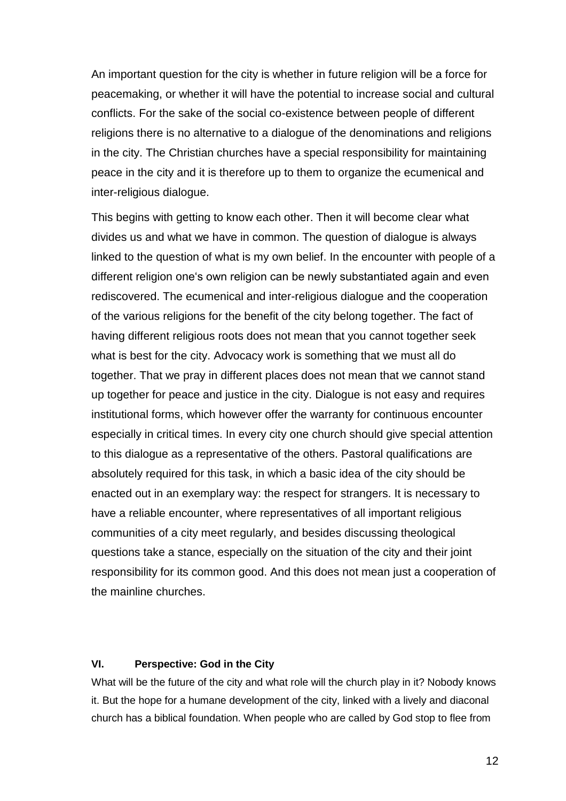An important question for the city is whether in future religion will be a force for peacemaking, or whether it will have the potential to increase social and cultural conflicts. For the sake of the social co-existence between people of different religions there is no alternative to a dialogue of the denominations and religions in the city. The Christian churches have a special responsibility for maintaining peace in the city and it is therefore up to them to organize the ecumenical and inter-religious dialogue.

This begins with getting to know each other. Then it will become clear what divides us and what we have in common. The question of dialogue is always linked to the question of what is my own belief. In the encounter with people of a different religion one's own religion can be newly substantiated again and even rediscovered. The ecumenical and inter-religious dialogue and the cooperation of the various religions for the benefit of the city belong together. The fact of having different religious roots does not mean that you cannot together seek what is best for the city. Advocacy work is something that we must all do together. That we pray in different places does not mean that we cannot stand up together for peace and justice in the city. Dialogue is not easy and requires institutional forms, which however offer the warranty for continuous encounter especially in critical times. In every city one church should give special attention to this dialogue as a representative of the others. Pastoral qualifications are absolutely required for this task, in which a basic idea of the city should be enacted out in an exemplary way: the respect for strangers. It is necessary to have a reliable encounter, where representatives of all important religious communities of a city meet regularly, and besides discussing theological questions take a stance, especially on the situation of the city and their joint responsibility for its common good. And this does not mean just a cooperation of the mainline churches.

#### **VI. Perspective: God in the City**

What will be the future of the city and what role will the church play in it? Nobody knows it. But the hope for a humane development of the city, linked with a lively and diaconal church has a biblical foundation. When people who are called by God stop to flee from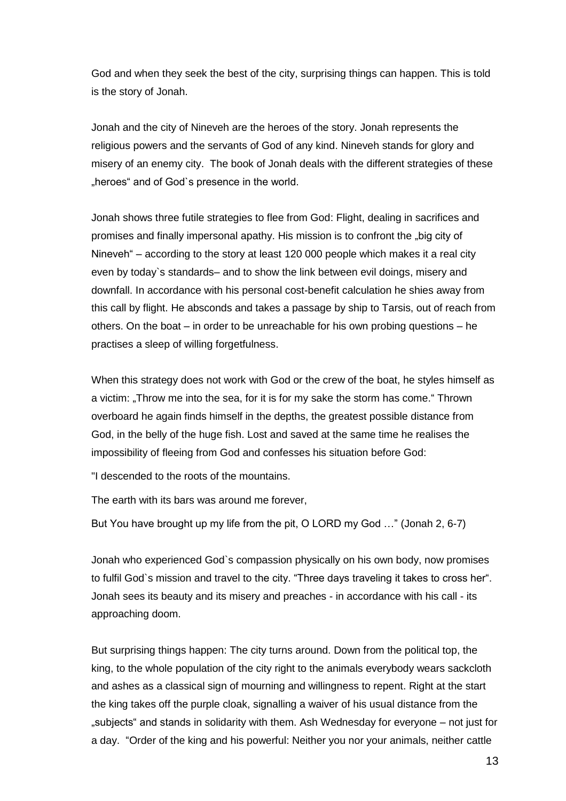God and when they seek the best of the city, surprising things can happen. This is told is the story of Jonah.

Jonah and the city of Nineveh are the heroes of the story. Jonah represents the religious powers and the servants of God of any kind. Nineveh stands for glory and misery of an enemy city. The book of Jonah deals with the different strategies of these "heroes" and of God's presence in the world.

Jonah shows three futile strategies to flee from God: Flight, dealing in sacrifices and promises and finally impersonal apathy. His mission is to confront the "big city of Nineveh" – according to the story at least 120 000 people which makes it a real city even by today`s standards– and to show the link between evil doings, misery and downfall. In accordance with his personal cost-benefit calculation he shies away from this call by flight. He absconds and takes a passage by ship to Tarsis, out of reach from others. On the boat – in order to be unreachable for his own probing questions – he practises a sleep of willing forgetfulness.

When this strategy does not work with God or the crew of the boat, he styles himself as a victim: "Throw me into the sea, for it is for my sake the storm has come." Thrown overboard he again finds himself in the depths, the greatest possible distance from God, in the belly of the huge fish. Lost and saved at the same time he realises the impossibility of fleeing from God and confesses his situation before God:

"I descended to the roots of the mountains.

The earth with its bars was around me forever,

But You have brought up my life from the pit, O LORD my God …" (Jonah 2, 6-7)

Jonah who experienced God`s compassion physically on his own body, now promises to fulfil God`s mission and travel to the city. "Three days traveling it takes to cross her". Jonah sees its beauty and its misery and preaches - in accordance with his call - its approaching doom.

But surprising things happen: The city turns around. Down from the political top, the king, to the whole population of the city right to the animals everybody wears sackcloth and ashes as a classical sign of mourning and willingness to repent. Right at the start the king takes off the purple cloak, signalling a waiver of his usual distance from the "subjects" and stands in solidarity with them. Ash Wednesday for everyone – not just for a day. "Order of the king and his powerful: Neither you nor your animals, neither cattle